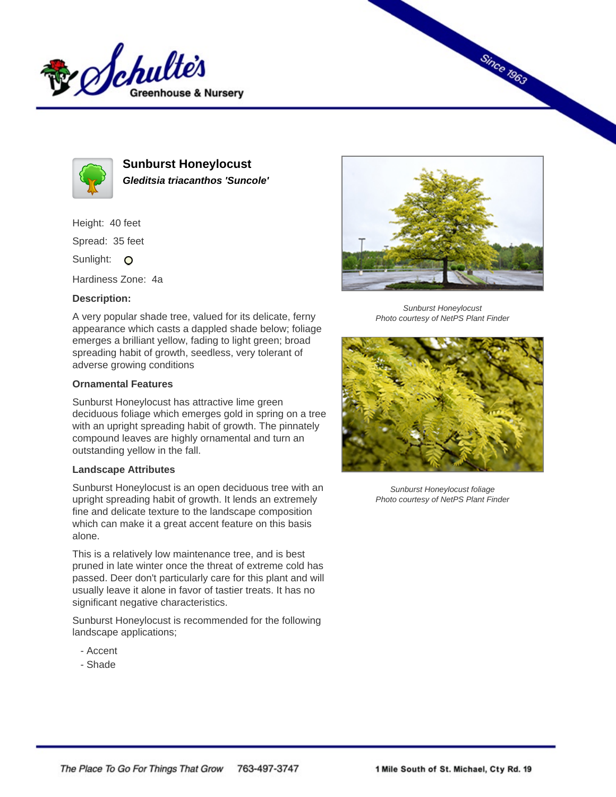



**Sunburst Honeylocust Gleditsia triacanthos 'Suncole'**

Height: 40 feet Spread: 35 feet Sunlight: O

Hardiness Zone: 4a

## **Description:**

A very popular shade tree, valued for its delicate, ferny appearance which casts a dappled shade below; foliage emerges a brilliant yellow, fading to light green; broad spreading habit of growth, seedless, very tolerant of adverse growing conditions

## **Ornamental Features**

Sunburst Honeylocust has attractive lime green deciduous foliage which emerges gold in spring on a tree with an upright spreading habit of growth. The pinnately compound leaves are highly ornamental and turn an outstanding yellow in the fall.

## **Landscape Attributes**

Sunburst Honeylocust is an open deciduous tree with an upright spreading habit of growth. It lends an extremely fine and delicate texture to the landscape composition which can make it a great accent feature on this basis alone.

This is a relatively low maintenance tree, and is best pruned in late winter once the threat of extreme cold has passed. Deer don't particularly care for this plant and will usually leave it alone in favor of tastier treats. It has no significant negative characteristics.

Sunburst Honeylocust is recommended for the following landscape applications;

- Accent
- Shade



**Since 1963** 

Sunburst Honeylocust Photo courtesy of NetPS Plant Finder



Sunburst Honeylocust foliage Photo courtesy of NetPS Plant Finder